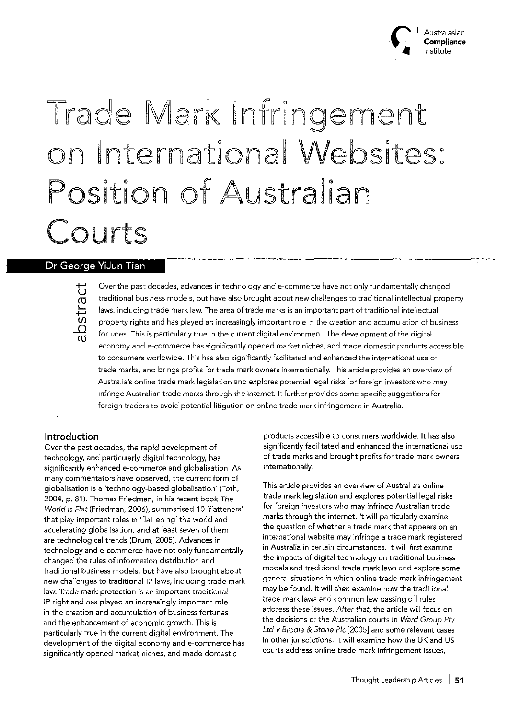

# Trade Mark Infringement on International Websites: Position of Australian Courts

# Dr George YiJun Tian



Over the past decades, advances in technology and e-commerce have not only fundamentally changed traditional business models, but have also brought about new challenges to traditional intellectual property laws, including trade mark law. The area of trade marks is an important part of traditional intellectual property rights and has played an increasingly important role in the creation and accumulation of business fortunes. This is particularly true in the current digital environment. The development of the digital economy and e-commerce has significantly opened market niches, and made domestic products accessible to consumers worldwide. This has also significantly facilitated and enhanced the international use of trade marks, and brings profits for trade mark owners internationaJly. This article provides an overview of Australia's online trade mark legislation and explores potential legal risks for foreign investors who may infringe Australian trade marks through the internet. It further provides some specific suggestions for foreign traders to avoid potential litigation on online trade mark infringement in Australia.

## Introduction

*Over* the past decades, the rapid development of technology, and particularly digital technology, has significantly enhanced e-commerce and globalisation. As many commentators have observed, the current form of globalisation is a 'technology-based globalisation' (Toth, 2004, p. 81). Thomas Friedman, in his recent book *The* World ;s Flat (Friedman, 2006), summarised 10 'flatteners' that play important roles in 'flattening' the world and accelerating globalisation, and at least seven of them are technological trends (Drum, 2005). Advances in technology and e-commerce have not only fundamentally changed the rules of information distribution and traditional business models, but have also brought about new challenges to traditional IP laws, including trade mark law. Trade mark protection is an important traditional IP right and has played an increasingly important role in the creation and accumulation of business fortunes and the enhancement of economic growth. This is particularly true in the current digital environment. The development of the digital economy and e-commerce has significantly opened market niches, and made domestic

products accessible to consumers worldwide. It has also significantly facilitated and enhanced the international use of trade marks and brought profits for trade mark owners internationally.

This article provides an overview of Australia's online trade mark legislation and explores potential legal risks for foreign investors who may infringe Australian trade marks through the internet. It will particularly examine the question of whether a trade mark that appears on an international website may infringe a trade mark registered in Australia in certain circumstances. It will first examine the impacts of digital technology on traditional business models and traditional trade mark laws and explore some general situations in which online trade mark infringement may be found. It will *then* examine how the traditional trade mark laws and common law passing off rules address these issues. After that, the article will focus on the decisions of the Australian courts in *Ward Group* Pty *Ltd v Brodie* & Stone *Pic* [2005] and some relevant cases in other jurisdictions. It will examine how the UK and US courts address online trade mark infringement issues,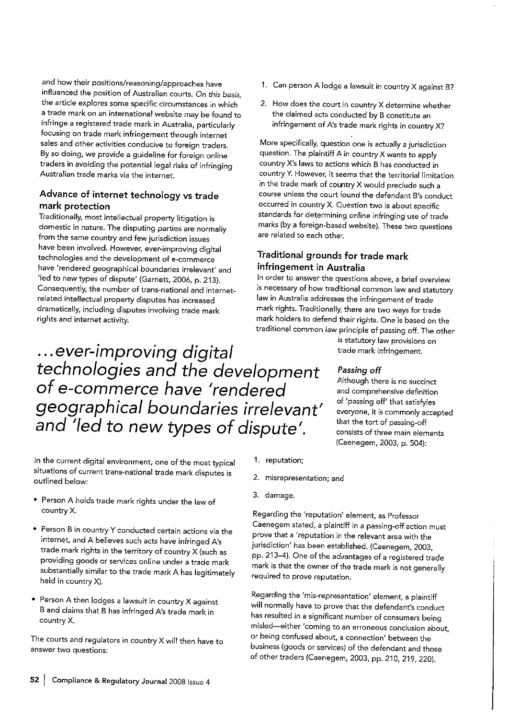and how their positions/reasoning/approaches have influenced the position of Australian courts. On this basis, the article explores some specific circumstances in which a trade mark on an international website may be found to infringe a registered trade mark in Australia, particularly focusing on trade mark infringement through internet sales and other activities conducive to foreign traders. By so doing, we provide a guideline for foreign online traders in avoiding the potential legal risks of infringing Australian trade marks via the internet.

# Advance of internet technology vs trade mark protection

Traditionally, most intellectual property litigation is domestic in nature. The disputing parties are normally from the same country and few jurisdiction issues have been involved. However, ever-improving digital technologies and the development of e-commerce have 'rendered geographical boundaries irrelevant' and 'led to new types of dispute' (Garnett, 2006, p. 213). Consequently, the number of trans-national and internetrelated intellectual property disputes has increased dramatically, including disputes involving trade mark rights and internet activity.

...ever-improving digital

technologies and the development

geographical boundaries irrelevant'

and 'led to new types of dispute'.

of e-commerce have 'rendered

- 1. Can person A lodge a lawsuit in country X against B?
- 2. How does the court in country X determine whether the claimed acts conducted by B constitute an infringement of A's trade mark rights in country X?

More specifically, question one is actually a jurisdiction question. The plaintiff A in country X wants to apply country X's laws to actions which B has conducted in country Y. However, it seems that the territorial limitation in the trade mark of country X would preclude such a course unless the court found the defendant B's conduct occurred in country X. Question two is about specific standards for determining online infringing use of trade marks (by a foreign-based website). These two questions are related to each other.

# Traditional grounds for trade mark infringement in Australia

In order to answer the questions above, a brief overview is necessary of how traditional common law and statutory law in Australia addresses the infringement of trade mark rights. Traditionally, there are two ways for trade mark holders to defend their rights. One is based on the traditional common law principle of passing off. The other

is statutory law provisions on trade mark infringement.

## Passing off

Although there is no succinct and comprehensive definition of 'passing off' that satisfyies everyone, it is commonly accepted that the tort of passing-off consists of three main elements (Caenegem, 2003, p. 504):

- In the current digital environment, one of the most typical situations of current trans-national trade mark disputes is outlined below:
- . Person A holds trade mark rights under the law of country X.
- Person B in country Y conducted certain actions via the internet, and A believes such acts have infringed A's trade mark rights in the territory of country X (such as providing goods or services online under a trade mark substantially similar to the trade mark A has legitimately held in country X).
- Person A then lodges a lawsuit in country X against B and claims that B has infringed A's trade mark in country X.

The courts and regulators in country X will then have to answer two questions:

- 1. reputation;
- 2. misrepresentation; and
- 3. damage.

Regarding the 'reputation' element, as Professor Caenegem stated, a plaintiff in a passing-off action must prove that a 'reputation in the relevant area with the jurisdiction' has been established. (Caenegem, 2003, pp. 213-4). One of the advantages of a registered trade mark is that the owner of the trade mark is not generally required to prove reputation.

Regarding the 'mis-representation' element, a plaintiff will normally have to prove that the defendant's conduct has resulted in a significant number of consumers being misled-either 'coming to an erroneous conclusion about, or being confused about, a connection' between the business (goods or services) of the defendant and those of other traders (Caenegem, 2003, pp. 210, 219, 220).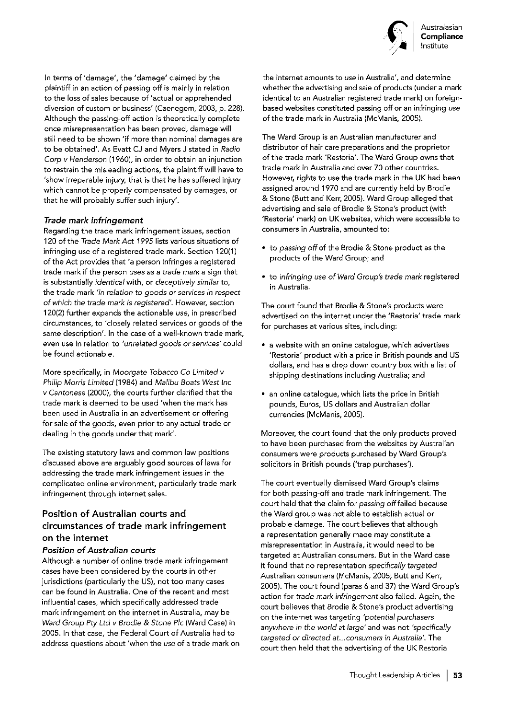

In terms of 'damage', the 'damage' claimed by the plaintiff in an action of passing off is mainly in relation to the loss of sales because of 'actual or apprehended diversion of custom or business' (Caenegem, 2003, p. 228). Although the passing-off action is theoretically complete once misrepresentation has been proved, damage will still need to be shown 'if more than nominal damages are to be obtained'. As Evatt CJ and Myers J stated in Radio Corp v Henderson (1960), in order to obtain an injunction to restrain the misleading actions, the plaintiff will have to 'show irreparable injury, that is that he has suffered injury which cannot be properly compensated by damages, or that he will probably suffer such injury'.

## Trade mark infringement

Regarding the trade mark infringement issues, section 120 of the Trade Mark Act 1995 lists various situations of infringing use of a registered trade mark. Section 120(1) of the Act provides that 'a person infringes a registered trade mark if the person uses as a trade mark a sign that is substantially identical with, or deceptively similar to, the trade mark 'in relation to goods or services in respect of which the trade mark is registered'. However, section 120(2) further expands the actionable use, in prescribed circumstances, to 'closely related services or goods of the same description'. In the case of a well-known trade mark, even use in relation to 'unrelated goods or services' could be found actionable.

More specifically, in Moorgate Tobacco Co Limited v Philip Morris Limited (1984) and Malibu Boats West Inc v Cantonese (2000), the courts further clarified that the trade mark is deemed to be used 'when the mark has been used in Australia in an advertisement or offering for sale of the goods, even prior to any actual trade or dealing in the goods under that mark'.

The existing statutory laws and common law positions discussed above are arguably good sources of laws for addressing the trade mark infringement issues in the complicated online environment, particularly trade mark infringement through internet sales.

# Position of Australian courts and circumstances of trade mark infringement on the internet

# Position of Australian courts

Although a number of online trade mark infringement cases have been considered by the courts in other jurisdictions (particularly the US), not too many cases can be found in Australia. One of the recent and most influential cases, which specifically addressed trade mark infringement on the internet in Australia, may be Ward Group Pty Ltd v Brodie & Stone Plc (Ward Case) in 2005. In that case, the Federal Court of Australia had to address questions about 'when the use of a trade mark on the internet amounts to use in Australia', and determine whether the advertising and sale of products (under a mark identical to an Australian registered trade mark) on foreignbased websites constituted passing off or an infringing use of the trade mark in Australia (McManis, 2005).

The Ward Group is an Australian manufacturer and distributor of hair care preparations and the proprietor of the trade mark 'Restoria'. The Ward Group owns that trade mark in Australia and over 70 other countries. However, rights to use the trade mark in the UK had been assigned around 1970 and are currently held by Brodie & Stone (Butt and Kerr, 2005). Ward Group alleged that advertising and sale of Brodie & Stone's product (with 'Restoria' mark) on UK websites, which were accessible to consumers in Australia, amounted to:

- to passing off of the Brodie & Stone product as the products of the Ward Group; and
- · to infringing use of Ward Group's trade mark registered in Australia.

The court found that Brodie & Stone's products were advertised on the internet under the 'Restoria' trade mark for purchases at various sites, including:

- a website with an online catalogue, which advertises 'Restoria' product with a price in British pounds and US dollars, and has a drop down country box with a list of shipping destinations including Australia; and
- an online catalogue, which lists the price in British pounds, Euros, US dollars and Australian dollar currencies (McManis, 2005).

Moreover, the court found that the only products proved to have been purchased from the websites by Australian consumers were products purchased by Ward Group's solicitors in British pounds ('trap purchases').

The court eventually dismissed Ward Group's claims for both passing-off and trade mark infringement. The court held that the claim for passing off failed because the Ward group was not able to establish actual or probable damage. The court believes that although a representation generally made may constitute a misrepresentation in Australia, it would need to be targeted at Australian consumers. But in the Ward case it found that no representation specifically targeted Australian consumers (McManis, 2005; Butt and Kerr, 2005). The court found (paras 6 and 37) the Ward Group's action for trade mark infringement also failed. Again, the court believes that Brodie & Stone's product advertising on the internet was targeting 'potential purchasers anywhere in the world at large' and was not 'specifically targeted or directed at...consumers in Australia'. The court then held that the advertising of the UK Restoria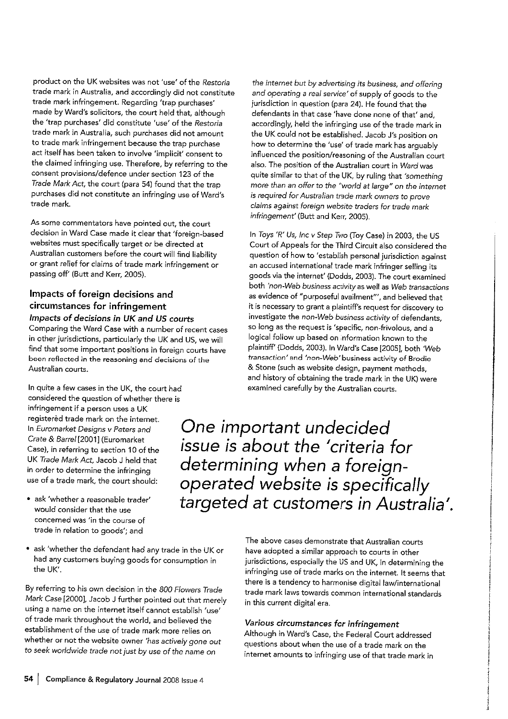product on the UK websites was not 'use' of the Restoria trade mark in Australia, and accordingly did not constitute trade mark infringement. Regarding 'trap purchases' made by Ward's solicitors, the court held that, although the 'trap purchases' did constitute 'use' of the Restoria trade mark in Australia, such purchases did not amount to trade mark infringement because the trap purchase act itself has been taken to involve 'implicit' consent to the claimed infringing use. Therefore, by referring to the consent provisions/defence under section 123 of the Trade Mark Act, the court (para 54) found that the trap purchases did not constitute an infringing use of Ward's trade mark.

As some commentators have pointed out, the court decision in Ward Case made it clear that 'foreign-based websites must specifically target or be directed at Australian customers before the court will find liability or grant relief for claims of trade mark infringement or passing off' (Butt and Kerr, 2005).

# Impacts of foreign decisions and circumstances for infringement

## Impacts of decisions in UK and US courts

Comparing the Ward Case with a number of recent cases in other jurisdictions, particularly the UK and US, we will find that some important positions in foreign courts have been reflected in the reasoning and decisions of the Australian courts.

In quite a few cases in the UK, the court had considered the question of whether there is infringement if a person uses a UK registerèd trade mark on the internet. In Euromarket Designs v Peters and Crate & Barrel [2001] (Euromarket Case), in referring to section 10 of the UK Trade Mark Act, Jacob J held that in order to determine the infringing use of a trade mark, the court should:

- · ask 'whether a reasonable trader' would consider that the use concerned was 'in the course of trade in relation to goods'; and
- ask 'whether the defendant had any trade in the UK or had any customers buying goods for consumption in the UK'.

By referring to his own decision in the 800 Flowers Trade Mark Case [2000], Jacob J further pointed out that merely using a name on the internet itself cannot establish 'use' of trade mark throughout the world, and believed the establishment of the use of trade mark more relies on whether or not the website owner 'has actively gone out to seek worldwide trade not just by use of the name on

the internet but by advertising its business, and offering and operating a real service' of supply of goods to the jurisdiction in question (para 24). He found that the defendants in that case 'have done none of that' and. accordingly, held the infringing use of the trade mark in the UK could not be established. Jacob J's position on how to determine the 'use' of trade mark has arguably influenced the position/reasoning of the Australian court also. The position of the Australian court in Ward was quite similar to that of the UK, by ruling that 'something more than an offer to the "world at large" on the internet is required for Australian trade mark owners to prove claims against foreign website traders for trade mark infringement' (Butt and Kerr, 2005).

In Toys 'R' Us, Inc v Step Two (Toy Case) in 2003, the US Court of Appeals for the Third Circuit also considered the question of how to 'establish personal jurisdiction against an accused international trade mark infringer selling its goods via the internet' (Dodds, 2003). The court examined both 'non-Web business activity as well as Web transactions as evidence of "purposeful availment"', and believed that it is necessary to grant a plaintiff's request for discovery to investigate the non-Web business activity of defendants, so long as the request is 'specific, non-frivolous, and a logical follow up based on information known to the plaintiff' (Dodds, 2003). In Ward's Case [2005], both 'Web transaction' and 'non-Web' business activity of Brodie & Stone (such as website design, payment methods, and history of obtaining the trade mark in the UK) were examined carefully by the Australian courts.

One important undecided issue is about the 'criteria for determining when a foreignoperated website is specifically targeted at customers in Australia'.

> The above cases demonstrate that Australian courts have adopted a similar approach to courts in other jurisdictions, especially the US and UK, in determining the infringing use of trade marks on the internet. It seems that there is a tendency to harmonise digital law/international trade mark laws towards common international standards in this current digital era.

# Various circumstances for infringement

Although in Ward's Case, the Federal Court addressed questions about when the use of a trade mark on the internet amounts to infringing use of that trade mark in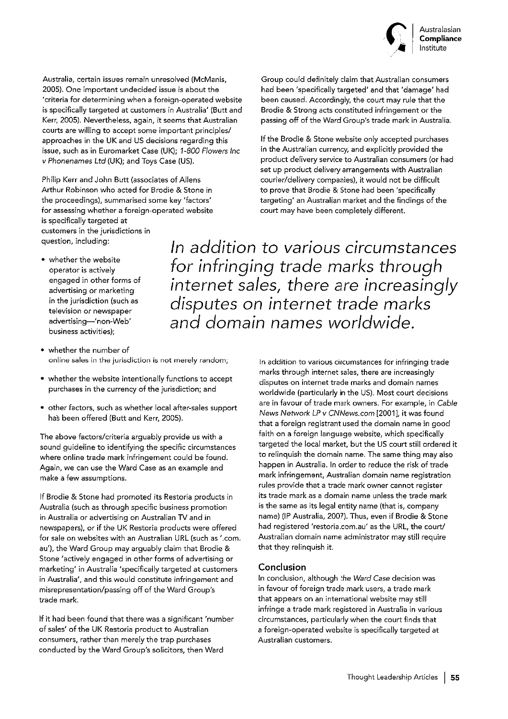

Group could definitely claim that Australian consumers

had been 'specifically targeted' and that 'damage' had

been caused. Accordingly, the court may rule that the

Brodie & Strong acts constituted infringement or the

passing off of the Ward Group's trade mark in Australia.

If the Brodie & Stone website only accepted purchases

product delivery service to Australian consumers (or had

in the Australian currency, and explicitly provided the

set up product delivery arrangements with Australian

courier/delivery companies), it would not be difficult

targeting' an Australian market and the findings of the

to prove that Brodie & Stone had been 'specifically

court may have been completely different.

Australia, certain issues remain unresolved (McManis, 2005). One important undecided issue is about the 'criteria for determining when a foreign-operated website is specifically targeted at customers in Australia' (Butt and Kerr, 2005). Nevertheless, again, it seems that Australian courts are willing to accept some important principles/ approaches in the UK and US decisions regarding this issue, such as in Euromarket Case (UK); 1-800 Flowers Inc v Phonenames Ltd (UK); and Toys Case (US).

Philip Kerr and John Butt (associates of Allens Arthur Robinson who acted for Brodie & Stone in the proceedings), summarised some key 'factors' for assessing whether a foreign-operated website is specifically targeted at customers in the jurisdictions in question, including:

• whether the website operator is actively engaged in other forms of advertising or marketing in the jurisdiction (such as television or newspaper advertising-'non-Web' business activities);

In addition to various circumstances for infringing trade marks through internet sales, there are increasingly disputes on internet trade marks and domain names worldwide.

- whether the number of online sales in the jurisdiction is not merely random;
- whether the website intentionally functions to accept purchases in the currency of the jurisdiction; and
- · other factors, such as whether local after-sales support has been offered (Butt and Kerr, 2005).

The above factors/criteria arguably provide us with a sound guideline to identifying the specific circumstances where online trade mark infringement could be found. Again, we can use the Ward Case as an example and make a few assumptions.

If Brodie & Stone had promoted its Restoria products in Australia (such as through specific business promotion in Australia or advertising on Australian TV and in newspapers), or if the UK Restoria products were offered for sale on websites with an Australian URL (such as '.com. au'), the Ward Group may arguably claim that Brodie & Stone 'actively engaged in other forms of advertising or marketing' in Australia 'specifically targeted at customers in Australia', and this would constitute infringement and misrepresentation/passing off of the Ward Group's trade mark.

If it had been found that there was a significant 'number of sales' of the UK Restoria product to Australian consumers, rather than merely the trap purchases conducted by the Ward Group's solicitors, then Ward

In addition to various circumstances for infringing trade marks through internet sales, there are increasingly disputes on internet trade marks and domain names worldwide (particularly in the US). Most court decisions are in favour of trade mark owners. For example, in Cable News Network LP v CNNews.com [2001], it was found that a foreign registrant used the domain name in good

faith on a foreign language website, which specifically targeted the local market, but the US court still ordered it to relinquish the domain name. The same thing may also happen in Australia. In order to reduce the risk of trade mark infringement, Australian domain name registration rules provide that a trade mark owner cannot register its trade mark as a domain name unless the trade mark is the same as its legal entity name (that is, company name) (IP Australia, 2007). Thus, even if Brodie & Stone had registered 'restoria.com.au' as the URL, the court/ Australian domain name administrator may still require that they relinquish it.

# Conclusion

In conclusion, although the Ward Case decision was in favour of foreign trade mark users, a trade mark that appears on an international website may still infringe a trade mark registered in Australia in various circumstances, particularly when the court finds that a foreign-operated website is specifically targeted at Australian customers.